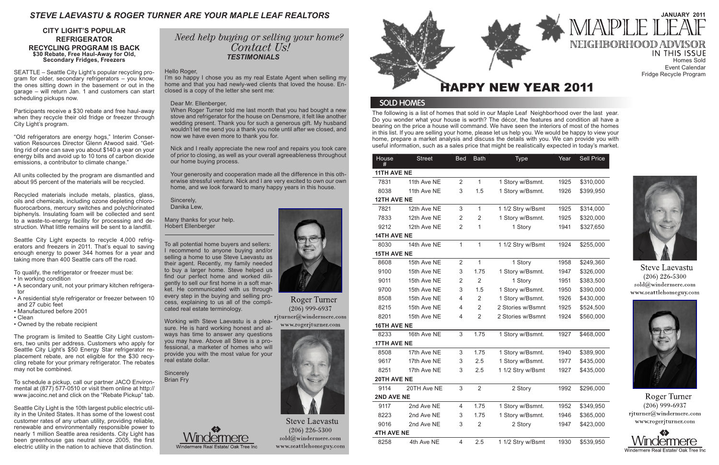The following is a list of homes that sold in our Maple Leaf Neighborhood over the last year. Do you wonder what your house is worth? The décor, the features and condition all have a bearing on the price a house will command. We have seen the interiors of most of the homes in this list. If you are selling your home, please let us help you. We would be happy to view your home, prepare a market analysis and discuss the details with you. We can provide you with useful information, such as a sales price that might be realistically expected in today's market.

## *STEVE LAEVASTU & ROGER TURNER ARE YOUR MAPLE LEAF REALTORS*

Event Calendar



**Steve Laevastu**  $(206)$  226-5300 sold@windermere.com www.seattlehomeguy.com



Roger Turner  $(206)$  999-6937 rjturner@windermere.com www.rogerjturner.com



home and that you had newly-wed clients that loved the house. Enclosed is a copy of the letter she sent me:

### Dear Mr. Ellenberger,

When Roger Turner told me last month that you had bought a new stove and refrigerator for the house on Densmore, it felt like another wedding present. Thank you for such a generous gift. My husband wouldn't let me send you a thank you note until after we closed, and now we have even more to thank you for.

**Sincerely** Brian Fry





**Roger Turner**  $(206)$  999-6937 rjturner@windermere.com

www.rogerjturner.com



**Steve Laevastu**  $(206)$  226-5300  $sold@$ windermere.com www.seattlehomeguy.com

Nick and I really appreciate the new roof and repairs you took care of prior to closing, as well as your overall agreeableness throughout our home buying process.

Your generosity and cooperation made all the difference in this otherwise stressful venture. Nick and I are very excited to own our own home, and we look forward to many happy years in this house.

Sincerely, Danika Lew,

Many thanks for your help. Hobert Ellenberger

To all potential home buyers and sellers: I recommend to anyone buying and/or selling a home to use Steve Laevastu as their agent. Recently, my family needed to buy a larger home. Steve helped us find our perfect home and worked diligently to sell our first home in a soft market. He communicated with us through every step in the buying and selling process, explaining to us all of the complicated real estate terminology.

Working with Steve Laevastu is a pleasure. He is hard working honest and always has time to answer any questions you may have. Above all Steve is a professional, a marketer of homes who will provide you with the most value for your real estate dollar.

| House<br>#         | <b>Street</b> | <b>Bed</b>     | <b>Bath</b>    | <b>Type</b>       | Year | Sell Price |  |  |  |
|--------------------|---------------|----------------|----------------|-------------------|------|------------|--|--|--|
| <b>11TH AVE NE</b> |               |                |                |                   |      |            |  |  |  |
| 7831               | 11th Ave NE   | $\overline{2}$ | $\mathbf{1}$   | 1 Story w/Bsmnt.  | 1925 | \$310,000  |  |  |  |
| 8038               | 11th Ave NE   | 3              | 1.5            | 1 Story w/Bsmnt.  | 1926 | \$399,950  |  |  |  |
| <b>12TH AVE NE</b> |               |                |                |                   |      |            |  |  |  |
| 7821               | 12th Ave NE   | 3              | 1              | 1 1/2 Stry w/Bsmt | 1925 | \$314,000  |  |  |  |
| 7833               | 12th Ave NE   | $\overline{2}$ | $\overline{2}$ | 1 Story w/Bsmnt.  | 1925 | \$320,000  |  |  |  |
| 9212               | 12th Ave NE   | $\overline{2}$ | $\mathbf{1}$   | 1 Story           | 1941 | \$327,650  |  |  |  |
| <b>14TH AVE NE</b> |               |                |                |                   |      |            |  |  |  |
| 8030               | 14th Ave NE   | $\mathbf{1}$   | $\overline{1}$ | 1 1/2 Stry w/Bsmt | 1924 | \$255,000  |  |  |  |
| <b>15TH AVE NE</b> |               |                |                |                   |      |            |  |  |  |
| 8608               | 15th Ave NE   | $\overline{2}$ | $\mathbf{1}$   | 1 Story           | 1958 | \$249,360  |  |  |  |
| 9100               | 15th Ave NE   | 3              | 1.75           | 1 Story w/Bsmnt.  | 1947 | \$326,000  |  |  |  |
| 9011               | 15th Ave NE   | 2              | $\overline{2}$ | 1 Story           | 1951 | \$383,500  |  |  |  |
| 9700               | 15th Ave NE   | 3              | 1.5            | 1 Story w/Bsmnt.  | 1950 | \$390,000  |  |  |  |
| 8508               | 15th Ave NE   | 4              | $\overline{2}$ | 1 Story w/Bsmnt.  | 1926 | \$430,000  |  |  |  |
| 8215               | 15th Ave NE   | 4              | $\overline{2}$ | 2 Stories w/Bsmnt | 1925 | \$524,500  |  |  |  |
| 8201               | 15th Ave NE   | 4              | 2              | 2 Stories w/Bsmnt | 1924 | \$560,000  |  |  |  |
| <b>16TH AVE NE</b> |               |                |                |                   |      |            |  |  |  |
| 8233               | 16th Ave NE   | 3              | 1.75           | 1 Story w/Bsmnt.  | 1927 | \$468,000  |  |  |  |
| 17TH AVE NE        |               |                |                |                   |      |            |  |  |  |
| 8508               | 17th Ave NE   | 3              | 1.75           | 1 Story w/Bsmnt.  | 1940 | \$389,900  |  |  |  |
| 9617               | 17th Ave NE   | 3              | 2.5            | 1 Story w/Bsmnt.  | 1977 | \$435,000  |  |  |  |
| 8251               | 17th Ave NE   | 3              | 2.5            | 1 1/2 Stry w/Bsmt | 1927 | \$435,000  |  |  |  |
| 20TH AVE NE        |               |                |                |                   |      |            |  |  |  |
| 9114               | 20TH Ave NE   | 3              | $\overline{2}$ | 2 Story           | 1992 | \$296,000  |  |  |  |
| 2ND AVE NE         |               |                |                |                   |      |            |  |  |  |
| 9117               | 2nd Ave NE    | 4              | 1.75           | 1 Story w/Bsmnt.  | 1952 | \$349,950  |  |  |  |
| 8223               | 2nd Ave NE    | 3              | 1.75           | 1 Story w/Bsmnt.  | 1946 | \$365,000  |  |  |  |
| 9016<br>2nd Ave NE |               | 3              | $\overline{2}$ | 2 Story           | 1947 | \$423,000  |  |  |  |
| <b>4TH AVE NE</b>  |               |                |                |                   |      |            |  |  |  |
| 8258               | 4th Ave NE    | 4              | 2.5            | 1 1/2 Stry w/Bsmt | 1930 | \$539,950  |  |  |  |



# **JANUARY 2011** NEIGHBORHOOD ADVI



### **SOLD HOMES**

### **CITY LIGHT'S POPULAR REFRIGERATOR RECYCLING PROGRAM IS BACK \$30 Rebate, Free Haul-Away for Old, Secondary Fridges, Freezers**

SEATTLE – Seattle City Light's popular recycling program for older, secondary refrigerators – you know, the ones sitting down in the basement or out in the garage – will return Jan. 1 and customers can start scheduling pickups now.

Participants receive a \$30 rebate and free haul-away when they recycle their old fridge or freezer through City Light's program.

"Old refrigerators are energy hogs," Interim Conservation Resources Director Glenn Atwood said. "Getting rid of one can save you about \$140 a year on your energy bills and avoid up to 10 tons of carbon dioxide emissions, a contributor to climate change."

All units collected by the program are dismantled and about 95 percent of the materials will be recycled.

Recycled materials include metals, plastics, glass, oils and chemicals, including ozone depleting chlorofluorocarbons, mercury switches and polychlorinated biphenyls. Insulating foam will be collected and sent to a waste-to-energy facility for processing and destruction. What little remains will be sent to a landfill.

Seattle City Light expects to recycle 4,000 refrigerators and freezers in 2011. That's equal to saving enough energy to power 344 homes for a year and taking more than 400 Seattle cars off the road.

To qualify, the refrigerator or freezer must be:

- In working condition
- A secondary unit, not your primary kitchen refrigerator
- A residential style refrigerator or freezer between 10 and 27 cubic feet
- Manufactured before 2001
- Clean
- Owned by the rebate recipient

The program is limited to Seattle City Light customers, two units per address. Customers who apply for Seattle City Light's \$50 Energy Star refrigerator replacement rebate, are not eligible for the \$30 recycling rebate for your primary refrigerator. The rebates may not be combined.

To schedule a pickup, call our partner JACO Environmental at (877) 577-0510 or visit them online at http:// www.jacoinc.net and click on the "Rebate Pickup" tab.

Seattle City Light is the 10th largest public electric utility in the United States. It has some of the lowest cost customer rates of any urban utility, providing reliable, renewable and environmentally responsible power to nearly 1 million Seattle area residents. City Light has been greenhouse gas neutral since 2005, the first electric utility in the nation to achieve that distinction.

## Need help buying or selling your home? Contact Us!